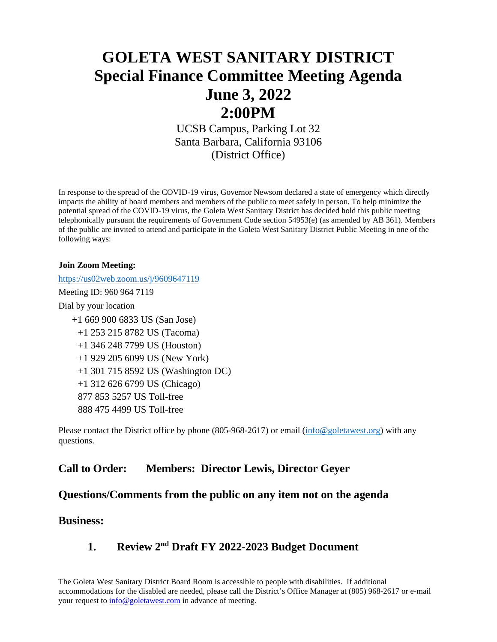# **GOLETA WEST SANITARY DISTRICT Special Finance Committee Meeting Agenda June 3, 2022 2:00PM**

UCSB Campus, Parking Lot 32 Santa Barbara, California 93106 (District Office)

In response to the spread of the COVID-19 virus, Governor Newsom declared a state of emergency which directly impacts the ability of board members and members of the public to meet safely in person. To help minimize the potential spread of the COVID-19 virus, the Goleta West Sanitary District has decided hold this public meeting telephonically pursuant the requirements of Government Code section 54953(e) (as amended by AB 361). Members of the public are invited to attend and participate in the Goleta West Sanitary District Public Meeting in one of the following ways:

#### **Join Zoom Meeting:**

<https://us02web.zoom.us/j/9609647119>

Meeting ID: 960 964 7119

Dial by your location

 +1 669 900 6833 US (San Jose) +1 253 215 8782 US (Tacoma) +1 346 248 7799 US (Houston) +1 929 205 6099 US (New York) +1 301 715 8592 US (Washington DC) +1 312 626 6799 US (Chicago) 877 853 5257 US Toll-free 888 475 4499 US Toll-free

Please contact the District office by phone (805-968-2617) or email [\(info@goletawest.org\)](mailto:info@goletawest.org) with any questions.

### **Call to Order: Members: Director Lewis, Director Geyer**

#### **Questions/Comments from the public on any item not on the agenda**

#### **Business:**

## **1. Review 2nd Draft FY 2022-2023 Budget Document**

The Goleta West Sanitary District Board Room is accessible to people with disabilities. If additional accommodations for the disabled are needed, please call the District's Office Manager at (805) 968-2617 or e-mail your request t[o info@goletawest.com](mailto:info@goletawest.com) in advance of meeting.